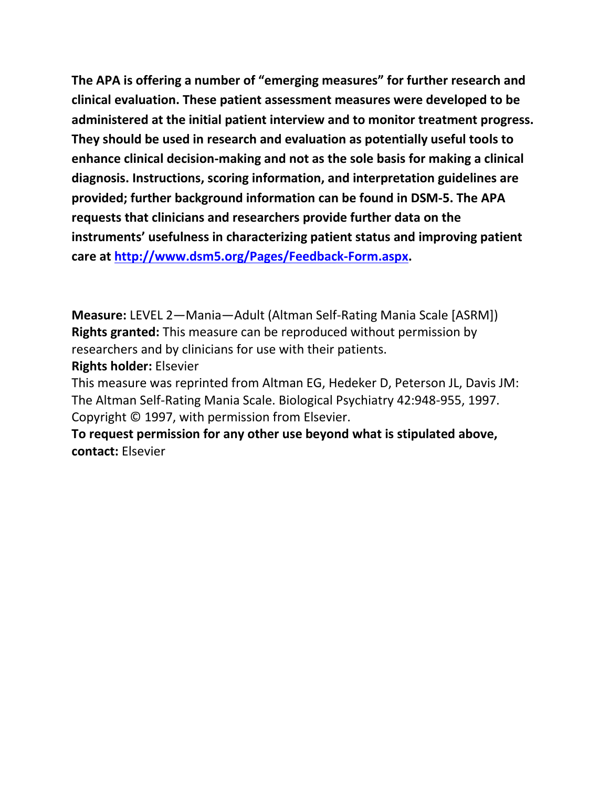**The APA is offering a number of "emerging measures" for further research and clinical evaluation. These patient assessment measures were developed to be administered at the initial patient interview and to monitor treatment progress. They should be used in research and evaluation as potentially useful tools to enhance clinical decision-making and not as the sole basis for making a clinical diagnosis. Instructions, scoring information, and interpretation guidelines are provided; further background information can be found in DSM-5. The APA requests that clinicians and researchers provide further data on the instruments' usefulness in characterizing patient status and improving patient care at [http://www.dsm5.org/Pages/Feedback-Form.aspx.](http://www.dsm5.org/Pages/Feedback-Form.aspx)**

**Measure:** LEVEL 2—Mania—Adult (Altman Self-Rating Mania Scale [ASRM]) **Rights granted:** This measure can be reproduced without permission by researchers and by clinicians for use with their patients.

**Rights holder:** Elsevier

This measure was reprinted from Altman EG, Hedeker D, Peterson JL, Davis JM: The Altman Self-Rating Mania Scale. Biological Psychiatry 42:948-955, 1997. Copyright © 1997, with permission from Elsevier.

**To request permission for any other use beyond what is stipulated above, contact:** Elsevier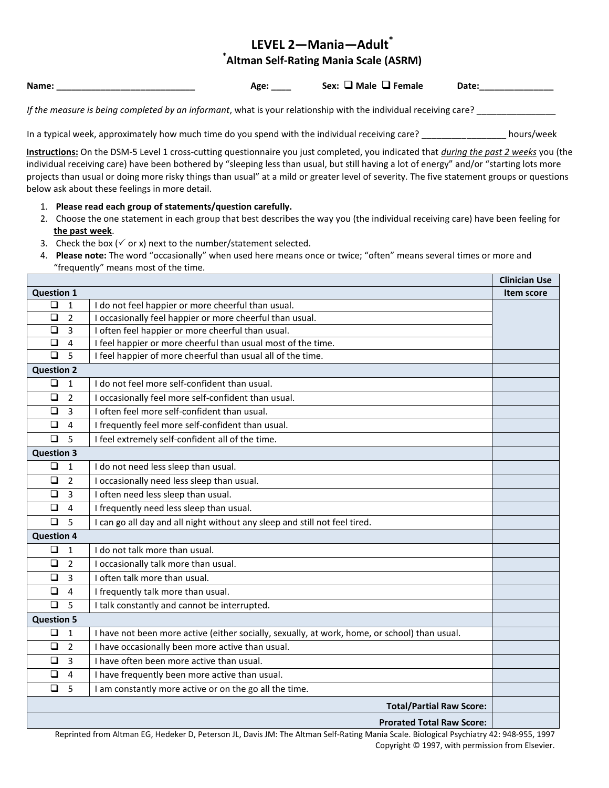# **LEVEL 2—Mania—Adult\* \* Altman Self-Rating Mania Scale (ASRM)**

**Name:** ● Age: Sex: □ Male □ Female Date:

*If the measure is being completed by an informant*, what is your relationship with the individual receiving care? \_\_\_\_\_\_\_\_\_\_\_\_\_\_\_\_

In a typical week, approximately how much time do you spend with the individual receiving care? \_\_\_\_\_\_\_\_\_\_\_\_\_\_\_\_\_\_\_ hours/week

**Instructions:** On the DSM-5 Level 1 cross-cutting questionnaire you just completed, you indicated that *during the past 2 weeks* you (the individual receiving care) have been bothered by "sleeping less than usual, but still having a lot of energy" and/or "starting lots more projects than usual or doing more risky things than usual" at a mild or greater level of severity. The five statement groups or questions below ask about these feelings in more detail.

- 1. **Please read each group of statements/question carefully.**
- 2. Choose the one statement in each group that best describes the way you (the individual receiving care) have been feeling for **the past week**.
- 3. Check the box ( $\checkmark$  or x) next to the number/statement selected.
- 4. **Please note:** The word "occasionally" when used here means once or twice; "often" means several times or more and "frequently" means most of the time.

|                                 |                                                                                               | <b>Clinician Use</b> |
|---------------------------------|-----------------------------------------------------------------------------------------------|----------------------|
| <b>Question 1</b>               |                                                                                               | Item score           |
| $\Box$<br>1                     | I do not feel happier or more cheerful than usual.                                            |                      |
| $\Box$<br>$\overline{2}$        | I occasionally feel happier or more cheerful than usual.                                      |                      |
| $\Box$<br>$\overline{3}$        | I often feel happier or more cheerful than usual.                                             |                      |
| $\overline{4}$<br>$\Box$        | I feel happier or more cheerful than usual most of the time.                                  |                      |
| 5<br>$\Box$                     | I feel happier of more cheerful than usual all of the time.                                   |                      |
| <b>Question 2</b>               |                                                                                               |                      |
| $\Box$<br>$\mathbf{1}$          | I do not feel more self-confident than usual.                                                 |                      |
| $\Box$<br>$\overline{2}$        | I occasionally feel more self-confident than usual.                                           |                      |
| $\Box$<br>3                     | I often feel more self-confident than usual.                                                  |                      |
| $\Box$<br>$\overline{4}$        | I frequently feel more self-confident than usual.                                             |                      |
| $\Box$<br>5                     | I feel extremely self-confident all of the time.                                              |                      |
| <b>Question 3</b>               |                                                                                               |                      |
| $\Box$<br>$\mathbf{1}$          | I do not need less sleep than usual.                                                          |                      |
| $\Box$<br>$\overline{2}$        | I occasionally need less sleep than usual.                                                    |                      |
| $\Box$<br>$\overline{3}$        | I often need less sleep than usual.                                                           |                      |
| $\Box$<br>$\overline{4}$        | I frequently need less sleep than usual.                                                      |                      |
| $\Box$<br>5                     | I can go all day and all night without any sleep and still not feel tired.                    |                      |
| <b>Question 4</b>               |                                                                                               |                      |
| $\Box$<br>$\mathbf{1}$          | I do not talk more than usual.                                                                |                      |
| $\Box$<br>$\overline{2}$        | I occasionally talk more than usual.                                                          |                      |
| $\Box$<br>$\overline{3}$        | I often talk more than usual.                                                                 |                      |
| $\overline{4}$<br>$\Box$        | I frequently talk more than usual.                                                            |                      |
| $\Box$<br>5                     | I talk constantly and cannot be interrupted.                                                  |                      |
| <b>Question 5</b>               |                                                                                               |                      |
| $\Box$<br>1                     | I have not been more active (either socially, sexually, at work, home, or school) than usual. |                      |
| $\overline{2}$<br>$\Box$        | I have occasionally been more active than usual.                                              |                      |
| $\Box$<br>$\overline{3}$        | I have often been more active than usual.                                                     |                      |
| $\Box$<br>$\overline{4}$        | I have frequently been more active than usual.                                                |                      |
| 5<br>$\Box$                     | I am constantly more active or on the go all the time.                                        |                      |
| <b>Total/Partial Raw Score:</b> |                                                                                               |                      |
|                                 | <b>Prorated Total Raw Score:</b>                                                              |                      |

Reprinted from Altman EG, Hedeker D, Peterson JL, Davis JM: The Altman Self-Rating Mania Scale. Biological Psychiatry 42: 948-955, 1997 Copyright © 1997, with permission from Elsevier.